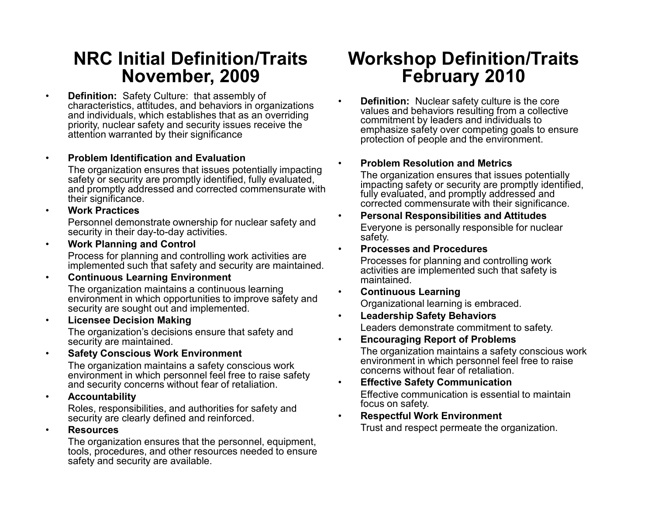### **NRC Initial Definition/Traits November, 2009**

• **Definition:** Safety Culture: that assembly of characteristics, attitudes, and behaviors in organizations and individuals, which establishes that as an overriding priority, nuclear safety and security issues receive the attention warranted by their significance

•**Problem Identification and Evaluation**

The organization ensures that issues potentially impacting safety or security are promptly identified, fully evaluated, and promptly addressed and corrected commensurate with their significance.

•**Work Practices**

> Personnel demonstrate ownership for nuclear safety and security in their day-to-day activities.

•**Work Planning and Control**

Process for planning and controlling work activities are implemented such that safety and security are maintained.

•**Continuous Learning Environment**

The organization maintains a continuous learning environment in which opportunities to improve safety and security are sought out and implemented.

•**Licensee Decision Making**

> The organization's decisions ensure that safety and security are maintained.

•**Safety Conscious Work Environment**

> The organization maintains a safety conscious work environment in which personnel feel free to raise safety and security concerns without fear of retaliation.

•**Accountability**

> Roles, responsibilities, and authorities for safety and security are clearly defined and reinforced.

•**Resources**

> The organization ensures that the personnel, equipment, tools, procedures, and other resources needed to ensure safety and security are available.

### **Workshop Definition/Traits February 2010**

 **Definition:** Nuclear safety culture is the core values and behaviors resulting from a collective commitment by leaders and individuals to emphasize safety over competing goals to ensure protection of people and the environment.

#### •**Problem Resolution and Metrics**

•

The organization ensures that issues potentially impacting safety or security are promptly identified, fully evaluated, and promptly addressed and corrected commensurate with their significance.

- • **Personal Responsibilities and Attitudes** Everyone is personally responsible for nuclear safety.
- •**Processes and Procedures**

Processes for planning and controlling work activities are implemented such that safety is maintained.

- • **Continuous Learning** Organizational learning is embraced.
- • **Leadership Safety Behaviors** Leaders demonstrate commitment to safety.
- •**Encouraging Report of Problems**

The organization maintains a safety conscious work environment in which personnel feel free to raise concerns without fear of retaliation.

- • **Effective Safety Communication** Effective communication is essential to maintain focus on safety.
- • **Respectful Work Environment** Trust and respect permeate the organization.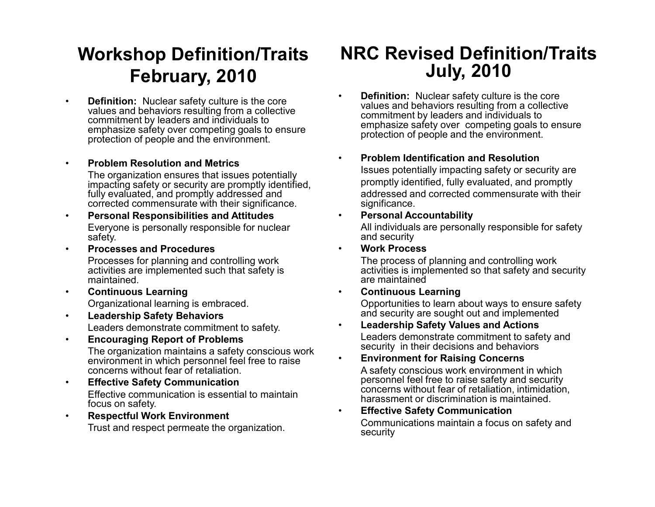# **Workshop Definition/Traits February, 2010**

• **Definition:** Nuclear safety culture is the core values and behaviors resulting from a collective commitment by leaders and individuals to emphasize safety over competing goals to ensure protection of people and the environment.

#### •**Problem Resolution and Metrics**

The organization ensures that issues potentially impacting safety or security are promptly identified, fully evaluated, and promptly addressed and corrected commensurate with their significance.

- • **Personal Responsibilities and Attitudes** Everyone is personally responsible for nuclear safety.
- • **Processes and Procedures**Processes for planning and controlling work activities are implemented such that safety is maintained.
- • **Continuous Learning** Organizational learning is embraced.
- • **Leadership Safety Behaviors** Leaders demonstrate commitment to safety.
- • **Encouraging Report of Problems** The organization maintains a safety conscious work environment in which personnel feel free to raise concerns without fear of retaliation.
- • **Effective Safety Communication** Effective communication is essential to maintain focus on safety.
- • **Respectful Work Environment** Trust and respect permeate the organization.

### **NRC Revised Definition/Traits July, 2010**

- • **Definition:** Nuclear safety culture is the core values and behaviors resulting from a collective commitment by leaders and individuals to emphasize safety over competing goals to ensure protection of people and the environment.
- • **Problem Identification and Resolution**Issues potentially impacting safety or security are promptly identified, fully evaluated, and promptly addressed and corrected commensurate with their significance.
- •**Personal Accountability**

All individuals are personally responsible for safety and security

•**Work Process**

The process of planning and controlling work activities is implemented so that safety and security are maintained

•**Continuous Learning**

Opportunities to learn about ways to ensure safety and security are sought out and implemented

- • **Leadership Safety Values and Actions** Leaders demonstrate commitment to safety and security in their decisions and behaviors
- • **Environment for Raising Concerns** A safety conscious work environment in which personnel feel free to raise safety and security concerns without fear of retaliation, intimidation, harassment or discrimination is maintained.
- • **Effective Safety Communication** Communications maintain a focus on safety and security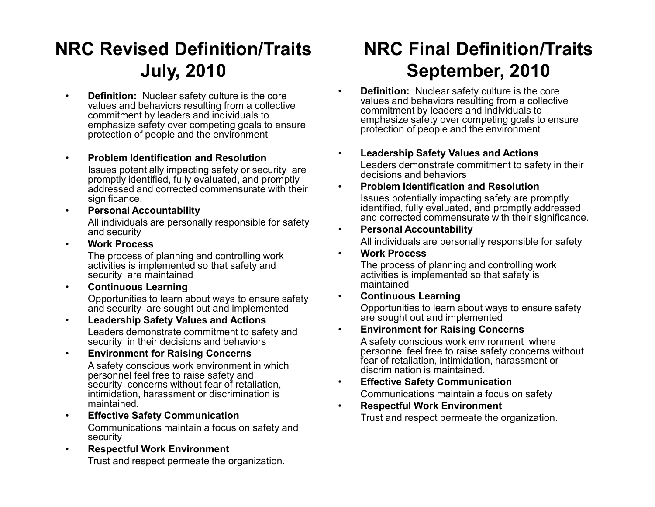# **NRC Revised Definition/Traits July, 2010**

- • **Definition:** Nuclear safety culture is the core values and behaviors resulting from a collective commitment by leaders and individuals to emphasize safety over competing goals to ensure protection of people and the environment
- • **Problem Identification and Resolution**Issues potentially impacting safety or security are promptly identified, fully evaluated, and promptly addressed and corrected commensurate with their significance.
- **Personal Accountability** All individuals are personally responsible for safety and security
- •**Work Process**

•

The process of planning and controlling work activities is implemented so that safety and security are maintained

- • **Continuous Learning** Opportunities to learn about ways to ensure safety and security are sought out and implemented
- • **Leadership Safety Values and Actions** Leaders demonstrate commitment to safety and security in their decisions and behaviors
- • **Environment for Raising Concerns** A safety conscious work environment in which personnel feel free to raise safety and security concerns without fear of retaliation, intimidation, harassment or discrimination is maintained.
- • **Effective Safety Communication** Communications maintain a focus on safety and security
- • **Respectful Work Environment** Trust and respect permeate the organization.

# **NRC Final Definition/Traits September, 2010**

- • **Definition:** Nuclear safety culture is the core values and behaviors resulting from a collective commitment by leaders and individuals to emphasize safety over competing goals to ensure protection of people and the environment
- • **Leadership Safety Values and Actions** Leaders demonstrate commitment to safety in their decisions and behaviors
- • **Problem Identification and Resolution**Issues potentially impacting safety are promptly identified, fully evaluated, and promptly addressed and corrected commensurate with their significance.
- • **Personal Accountability** All individuals are personally responsible for safety
- **Work Process**

The process of planning and controlling work activities is implemented so that safety is maintained

•**Continuous Learning**

Opportunities to learn about ways to ensure safety are sought out and implemented

•**Environment for Raising Concerns**

A safety conscious work environment where personnel feel free to raise safety concerns without fear of retaliation, intimidation, harassment or discrimination is maintained.

- • **Effective Safety Communication** Communications maintain a focus on safety
- • **Respectful Work Environment** Trust and respect permeate the organization.